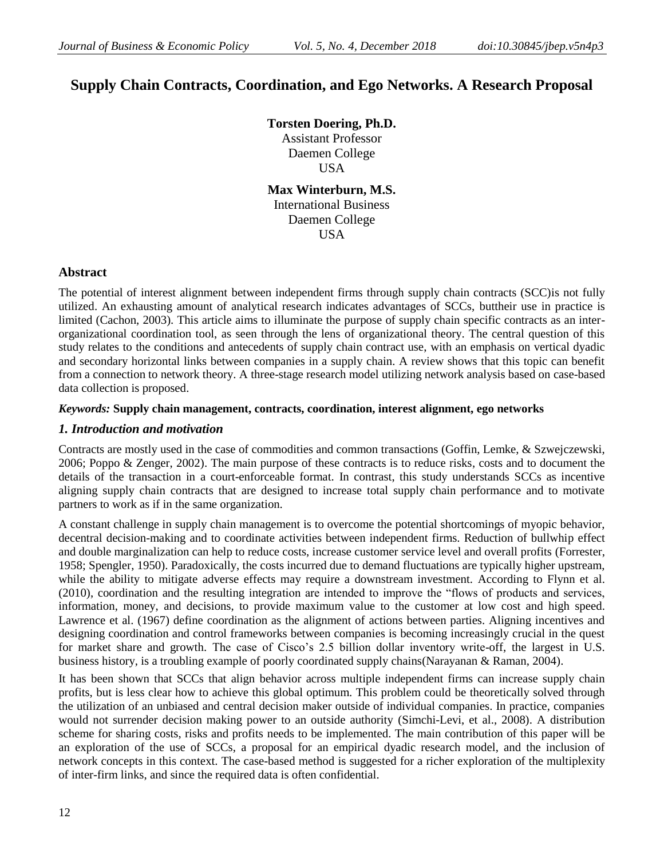# **Supply Chain Contracts, Coordination, and Ego Networks. A Research Proposal**

**Torsten Doering, Ph.D.** Assistant Professor Daemen College USA

**Max Winterburn, M.S.** International Business Daemen College **USA** 

## **Abstract**

The potential of interest alignment between independent firms through supply chain contracts (SCC)is not fully utilized. An exhausting amount of analytical research indicates advantages of SCCs, buttheir use in practice is limited (Cachon, 2003). This article aims to illuminate the purpose of supply chain specific contracts as an interorganizational coordination tool, as seen through the lens of organizational theory. The central question of this study relates to the conditions and antecedents of supply chain contract use, with an emphasis on vertical dyadic and secondary horizontal links between companies in a supply chain. A review shows that this topic can benefit from a connection to network theory. A three-stage research model utilizing network analysis based on case-based data collection is proposed.

## *Keywords:* **Supply chain management, contracts, coordination, interest alignment, ego networks**

## *1. Introduction and motivation*

Contracts are mostly used in the case of commodities and common transactions (Goffin, Lemke, & Szwejczewski, 2006; Poppo & Zenger, 2002). The main purpose of these contracts is to reduce risks, costs and to document the details of the transaction in a court-enforceable format. In contrast, this study understands SCCs as incentive aligning supply chain contracts that are designed to increase total supply chain performance and to motivate partners to work as if in the same organization.

A constant challenge in supply chain management is to overcome the potential shortcomings of myopic behavior, decentral decision-making and to coordinate activities between independent firms. Reduction of bullwhip effect and double marginalization can help to reduce costs, increase customer service level and overall profits (Forrester, 1958; Spengler, 1950). Paradoxically, the costs incurred due to demand fluctuations are typically higher upstream, while the ability to mitigate adverse effects may require a downstream investment. According to Flynn et al. (2010), coordination and the resulting integration are intended to improve the "flows of products and services, information, money, and decisions, to provide maximum value to the customer at low cost and high speed. Lawrence et al. (1967) define coordination as the alignment of actions between parties. Aligning incentives and designing coordination and control frameworks between companies is becoming increasingly crucial in the quest for market share and growth. The case of Cisco"s 2.5 billion dollar inventory write-off, the largest in U.S. business history, is a troubling example of poorly coordinated supply chains(Narayanan & Raman, 2004).

It has been shown that SCCs that align behavior across multiple independent firms can increase supply chain profits, but is less clear how to achieve this global optimum. This problem could be theoretically solved through the utilization of an unbiased and central decision maker outside of individual companies. In practice, companies would not surrender decision making power to an outside authority (Simchi-Levi, et al., 2008). A distribution scheme for sharing costs, risks and profits needs to be implemented. The main contribution of this paper will be an exploration of the use of SCCs, a proposal for an empirical dyadic research model, and the inclusion of network concepts in this context. The case-based method is suggested for a richer exploration of the multiplexity of inter-firm links, and since the required data is often confidential.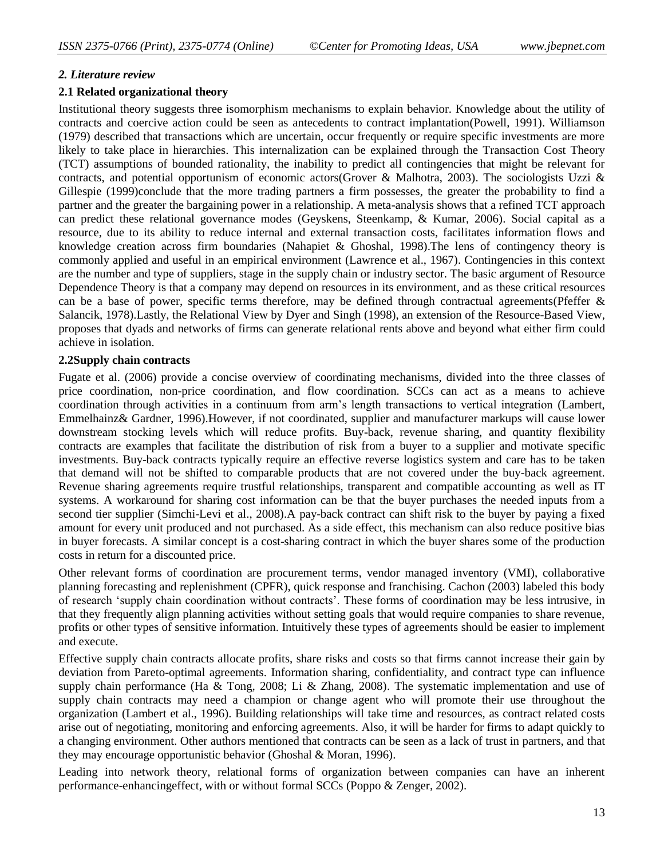#### *2. Literature review*

#### **2.1 Related organizational theory**

Institutional theory suggests three isomorphism mechanisms to explain behavior. Knowledge about the utility of contracts and coercive action could be seen as antecedents to contract implantation(Powell, 1991). Williamson (1979) described that transactions which are uncertain, occur frequently or require specific investments are more likely to take place in hierarchies. This internalization can be explained through the Transaction Cost Theory (TCT) assumptions of bounded rationality, the inability to predict all contingencies that might be relevant for contracts, and potential opportunism of economic actors(Grover & Malhotra, 2003). The sociologists Uzzi & Gillespie (1999)conclude that the more trading partners a firm possesses, the greater the probability to find a partner and the greater the bargaining power in a relationship. A meta-analysis shows that a refined TCT approach can predict these relational governance modes (Geyskens, Steenkamp, & Kumar, 2006). Social capital as a resource, due to its ability to reduce internal and external transaction costs, facilitates information flows and knowledge creation across firm boundaries (Nahapiet & Ghoshal, 1998).The lens of contingency theory is commonly applied and useful in an empirical environment (Lawrence et al., 1967). Contingencies in this context are the number and type of suppliers, stage in the supply chain or industry sector. The basic argument of Resource Dependence Theory is that a company may depend on resources in its environment, and as these critical resources can be a base of power, specific terms therefore, may be defined through contractual agreements(Pfeffer  $\&$ Salancik, 1978).Lastly, the Relational View by Dyer and Singh (1998), an extension of the Resource-Based View, proposes that dyads and networks of firms can generate relational rents above and beyond what either firm could achieve in isolation.

#### **2.2Supply chain contracts**

Fugate et al. (2006) provide a concise overview of coordinating mechanisms, divided into the three classes of price coordination, non-price coordination, and flow coordination. SCCs can act as a means to achieve coordination through activities in a continuum from arm"s length transactions to vertical integration (Lambert, Emmelhainz& Gardner, 1996).However, if not coordinated, supplier and manufacturer markups will cause lower downstream stocking levels which will reduce profits. Buy-back, revenue sharing, and quantity flexibility contracts are examples that facilitate the distribution of risk from a buyer to a supplier and motivate specific investments. Buy-back contracts typically require an effective reverse logistics system and care has to be taken that demand will not be shifted to comparable products that are not covered under the buy-back agreement. Revenue sharing agreements require trustful relationships, transparent and compatible accounting as well as IT systems. A workaround for sharing cost information can be that the buyer purchases the needed inputs from a second tier supplier (Simchi-Levi et al., 2008).A pay-back contract can shift risk to the buyer by paying a fixed amount for every unit produced and not purchased. As a side effect, this mechanism can also reduce positive bias in buyer forecasts. A similar concept is a cost-sharing contract in which the buyer shares some of the production costs in return for a discounted price.

Other relevant forms of coordination are procurement terms, vendor managed inventory (VMI), collaborative planning forecasting and replenishment (CPFR), quick response and franchising. Cachon (2003) labeled this body of research "supply chain coordination without contracts". These forms of coordination may be less intrusive, in that they frequently align planning activities without setting goals that would require companies to share revenue, profits or other types of sensitive information. Intuitively these types of agreements should be easier to implement and execute.

Effective supply chain contracts allocate profits, share risks and costs so that firms cannot increase their gain by deviation from Pareto-optimal agreements. Information sharing, confidentiality, and contract type can influence supply chain performance (Ha & Tong, 2008; Li & Zhang, 2008). The systematic implementation and use of supply chain contracts may need a champion or change agent who will promote their use throughout the organization (Lambert et al., 1996). Building relationships will take time and resources, as contract related costs arise out of negotiating, monitoring and enforcing agreements. Also, it will be harder for firms to adapt quickly to a changing environment. Other authors mentioned that contracts can be seen as a lack of trust in partners, and that they may encourage opportunistic behavior (Ghoshal & Moran, 1996).

Leading into network theory, relational forms of organization between companies can have an inherent performance-enhancingeffect, with or without formal SCCs (Poppo & Zenger, 2002).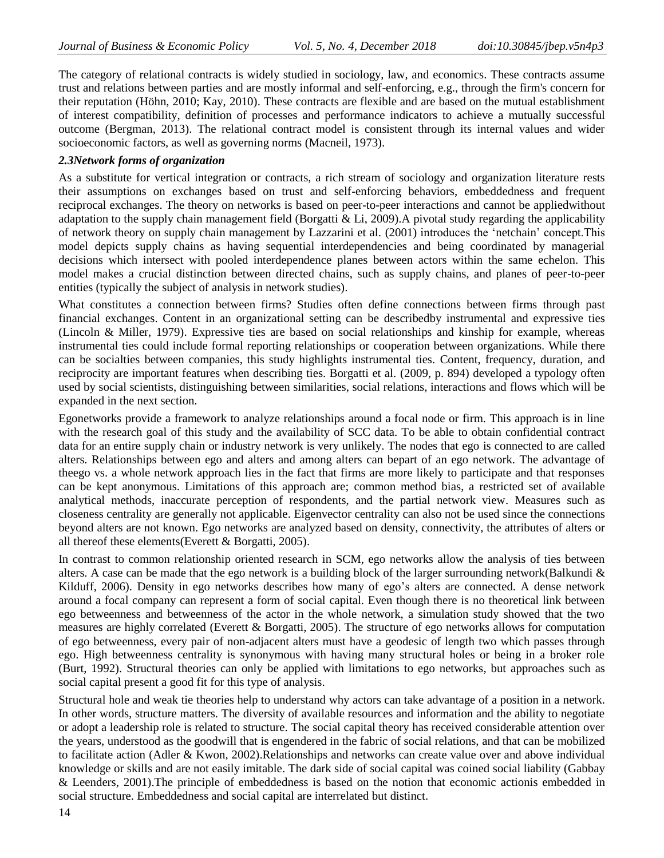The category of relational contracts is widely studied in sociology, law, and economics. These contracts assume trust and relations between parties and are mostly informal and self-enforcing, e.g., through the firm's concern for their reputation (Höhn, 2010; Kay, 2010). These contracts are flexible and are based on the mutual establishment of interest compatibility, definition of processes and performance indicators to achieve a mutually successful outcome (Bergman, 2013). The relational contract model is consistent through its internal values and wider socioeconomic factors, as well as governing norms (Macneil, 1973).

## *2.3Network forms of organization*

As a substitute for vertical integration or contracts, a rich stream of sociology and organization literature rests their assumptions on exchanges based on trust and self-enforcing behaviors, embeddedness and frequent reciprocal exchanges. The theory on networks is based on peer-to-peer interactions and cannot be appliedwithout adaptation to the supply chain management field (Borgatti & Li, 2009). A pivotal study regarding the applicability of network theory on supply chain management by Lazzarini et al. (2001) introduces the "netchain" concept.This model depicts supply chains as having sequential interdependencies and being coordinated by managerial decisions which intersect with pooled interdependence planes between actors within the same echelon. This model makes a crucial distinction between directed chains, such as supply chains, and planes of peer-to-peer entities (typically the subject of analysis in network studies).

What constitutes a connection between firms? Studies often define connections between firms through past financial exchanges. Content in an organizational setting can be describedby instrumental and expressive ties (Lincoln & Miller, 1979). Expressive ties are based on social relationships and kinship for example, whereas instrumental ties could include formal reporting relationships or cooperation between organizations. While there can be socialties between companies, this study highlights instrumental ties. Content, frequency, duration, and reciprocity are important features when describing ties. Borgatti et al. (2009, p. 894) developed a typology often used by social scientists, distinguishing between similarities, social relations, interactions and flows which will be expanded in the next section.

Egonetworks provide a framework to analyze relationships around a focal node or firm. This approach is in line with the research goal of this study and the availability of SCC data. To be able to obtain confidential contract data for an entire supply chain or industry network is very unlikely. The nodes that ego is connected to are called alters. Relationships between ego and alters and among alters can bepart of an ego network. The advantage of theego vs. a whole network approach lies in the fact that firms are more likely to participate and that responses can be kept anonymous. Limitations of this approach are; common method bias, a restricted set of available analytical methods, inaccurate perception of respondents, and the partial network view. Measures such as closeness centrality are generally not applicable. Eigenvector centrality can also not be used since the connections beyond alters are not known. Ego networks are analyzed based on density, connectivity, the attributes of alters or all thereof these elements(Everett & Borgatti, 2005).

In contrast to common relationship oriented research in SCM, ego networks allow the analysis of ties between alters. A case can be made that the ego network is a building block of the larger surrounding network(Balkundi & Kilduff, 2006). Density in ego networks describes how many of ego's alters are connected. A dense network around a focal company can represent a form of social capital. Even though there is no theoretical link between ego betweenness and betweenness of the actor in the whole network, a simulation study showed that the two measures are highly correlated (Everett & Borgatti, 2005). The structure of ego networks allows for computation of ego betweenness, every pair of non-adjacent alters must have a geodesic of length two which passes through ego. High betweenness centrality is synonymous with having many structural holes or being in a broker role (Burt, 1992). Structural theories can only be applied with limitations to ego networks, but approaches such as social capital present a good fit for this type of analysis.

Structural hole and weak tie theories help to understand why actors can take advantage of a position in a network. In other words, structure matters. The diversity of available resources and information and the ability to negotiate or adopt a leadership role is related to structure. The social capital theory has received considerable attention over the years, understood as the goodwill that is engendered in the fabric of social relations, and that can be mobilized to facilitate action (Adler & Kwon, 2002).Relationships and networks can create value over and above individual knowledge or skills and are not easily imitable. The dark side of social capital was coined social liability (Gabbay & Leenders, 2001).The principle of embeddedness is based on the notion that economic actionis embedded in social structure. Embeddedness and social capital are interrelated but distinct.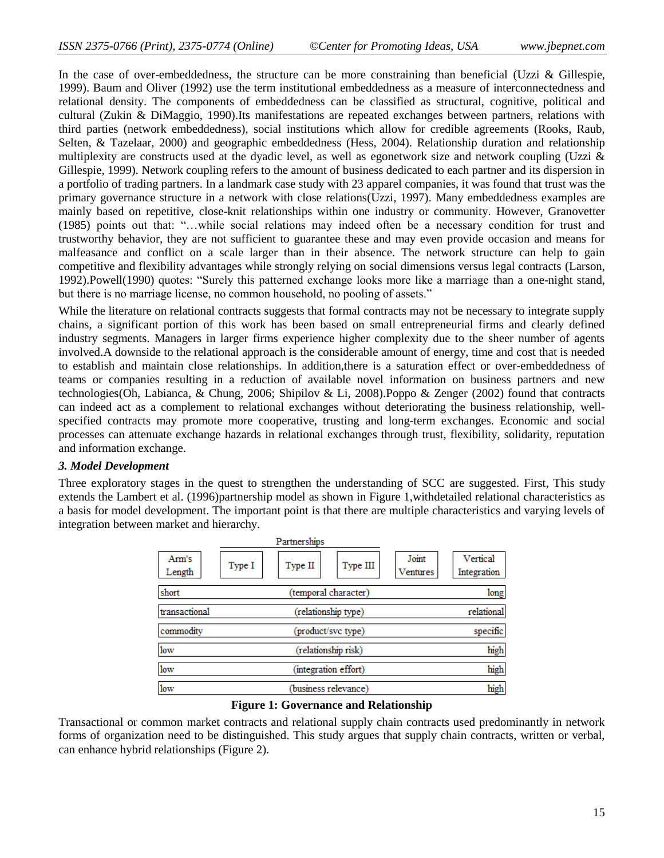In the case of over-embeddedness, the structure can be more constraining than beneficial (Uzzi  $\&$  Gillespie, 1999). Baum and Oliver (1992) use the term institutional embeddedness as a measure of interconnectedness and relational density. The components of embeddedness can be classified as structural, cognitive, political and cultural (Zukin & DiMaggio, 1990).Its manifestations are repeated exchanges between partners, relations with third parties (network embeddedness), social institutions which allow for credible agreements (Rooks, Raub, Selten, & Tazelaar, 2000) and geographic embeddedness (Hess, 2004). Relationship duration and relationship multiplexity are constructs used at the dyadic level, as well as egonetwork size and network coupling (Uzzi  $\&$ Gillespie, 1999). Network coupling refers to the amount of business dedicated to each partner and its dispersion in a portfolio of trading partners. In a landmark case study with 23 apparel companies, it was found that trust was the primary governance structure in a network with close relations(Uzzi, 1997). Many embeddedness examples are mainly based on repetitive, close-knit relationships within one industry or community. However, Granovetter (1985) points out that: "…while social relations may indeed often be a necessary condition for trust and trustworthy behavior, they are not sufficient to guarantee these and may even provide occasion and means for malfeasance and conflict on a scale larger than in their absence. The network structure can help to gain competitive and flexibility advantages while strongly relying on social dimensions versus legal contracts (Larson, 1992).Powell(1990) quotes: "Surely this patterned exchange looks more like a marriage than a one-night stand, but there is no marriage license, no common household, no pooling of assets."

While the literature on relational contracts suggests that formal contracts may not be necessary to integrate supply chains, a significant portion of this work has been based on small entrepreneurial firms and clearly defined industry segments. Managers in larger firms experience higher complexity due to the sheer number of agents involved.A downside to the relational approach is the considerable amount of energy, time and cost that is needed to establish and maintain close relationships. In addition,there is a saturation effect or over-embeddedness of teams or companies resulting in a reduction of available novel information on business partners and new technologies(Oh, Labianca, & Chung, 2006; Shipilov & Li, 2008).Poppo & Zenger (2002) found that contracts can indeed act as a complement to relational exchanges without deteriorating the business relationship, wellspecified contracts may promote more cooperative, trusting and long-term exchanges. Economic and social processes can attenuate exchange hazards in relational exchanges through trust, flexibility, solidarity, reputation and information exchange.

#### *3. Model Development*

Three exploratory stages in the quest to strengthen the understanding of SCC are suggested. First, This study extends the Lambert et al. (1996)partnership model as shown in Figure 1,withdetailed relational characteristics as a basis for model development. The important point is that there are multiple characteristics and varying levels of integration between market and hierarchy.

|                 | Partnerships                  |                                              |  |
|-----------------|-------------------------------|----------------------------------------------|--|
| Arm's<br>Length | Type III<br>Type I<br>Type II | Joint<br>Vertical<br>Ventures<br>Integration |  |
| short           | (temporal character)          | long                                         |  |
| transactional   | (relationship type)           | relational                                   |  |
| commodity       | (product/svc type)            | specific                                     |  |
| low             | (relationship risk)           | high                                         |  |
| low             | (integration effort)          | high                                         |  |
| low             | (business relevance)          | high                                         |  |

#### **Figure 1: Governance and Relationship**

Transactional or common market contracts and relational supply chain contracts used predominantly in network forms of organization need to be distinguished. This study argues that supply chain contracts, written or verbal, can enhance hybrid relationships (Figure 2).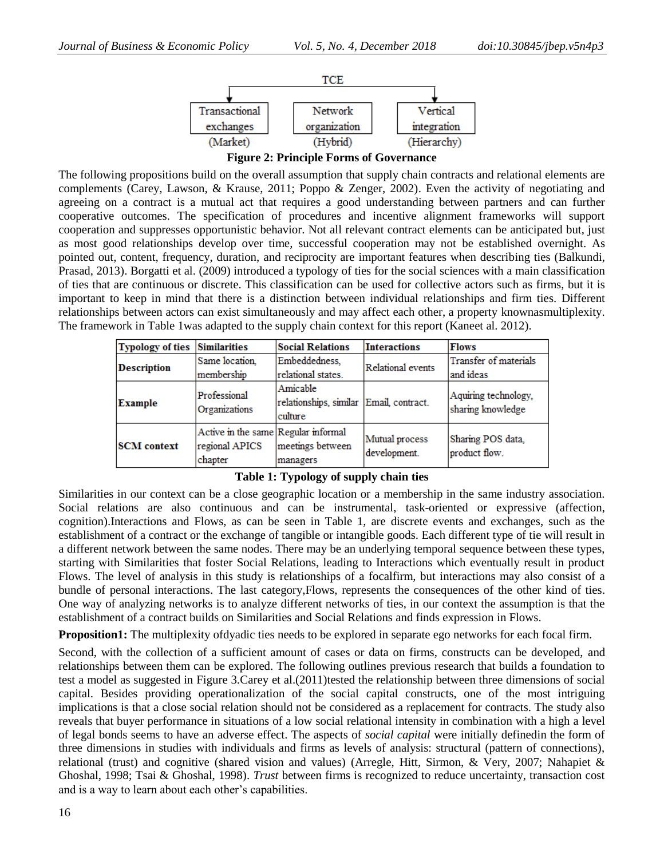

**Figure 2: Principle Forms of Governance**

The following propositions build on the overall assumption that supply chain contracts and relational elements are complements (Carey, Lawson, & Krause, 2011; Poppo & Zenger, 2002). Even the activity of negotiating and agreeing on a contract is a mutual act that requires a good understanding between partners and can further cooperative outcomes. The specification of procedures and incentive alignment frameworks will support cooperation and suppresses opportunistic behavior. Not all relevant contract elements can be anticipated but, just as most good relationships develop over time, successful cooperation may not be established overnight. As pointed out, content, frequency, duration, and reciprocity are important features when describing ties (Balkundi, Prasad, 2013). Borgatti et al. (2009) introduced a typology of ties for the social sciences with a main classification of ties that are continuous or discrete. This classification can be used for collective actors such as firms, but it is important to keep in mind that there is a distinction between individual relationships and firm ties. Different relationships between actors can exist simultaneously and may affect each other, a property knownasmultiplexity. The framework in Table 1was adapted to the supply chain context for this report (Kaneet al. 2012).

| Typology of ties Similarities |                                                                  | <b>Social Relations</b>                                        | <b>Interactions</b>            | <b>Flows</b>                              |
|-------------------------------|------------------------------------------------------------------|----------------------------------------------------------------|--------------------------------|-------------------------------------------|
| <b>Description</b>            | Same location,<br>membership                                     | Embeddedness,<br>relational states.                            | Relational events              | Transfer of materials<br>and ideas        |
| <b>Example</b>                | Professional<br>Organizations                                    | Amicable<br>relationships, similar Email, contract.<br>culture |                                | Aquiring technology,<br>sharing knowledge |
| <b>SCM</b> context            | Active in the same Regular informal<br>regional APICS<br>chapter | meetings between<br>managers                                   | Mutual process<br>development. | Sharing POS data,<br>product flow.        |

**Table 1: Typology of supply chain ties**

Similarities in our context can be a close geographic location or a membership in the same industry association. Social relations are also continuous and can be instrumental, task-oriented or expressive (affection, cognition).Interactions and Flows, as can be seen in Table 1, are discrete events and exchanges, such as the establishment of a contract or the exchange of tangible or intangible goods. Each different type of tie will result in a different network between the same nodes. There may be an underlying temporal sequence between these types, starting with Similarities that foster Social Relations, leading to Interactions which eventually result in product Flows. The level of analysis in this study is relationships of a focalfirm, but interactions may also consist of a bundle of personal interactions. The last category,Flows, represents the consequences of the other kind of ties. One way of analyzing networks is to analyze different networks of ties, in our context the assumption is that the establishment of a contract builds on Similarities and Social Relations and finds expression in Flows.

**Proposition1:** The multiplexity ofdyadic ties needs to be explored in separate ego networks for each focal firm.

Second, with the collection of a sufficient amount of cases or data on firms, constructs can be developed, and relationships between them can be explored. The following outlines previous research that builds a foundation to test a model as suggested in Figure 3. Carey et al. (2011)tested the relationship between three dimensions of social capital. Besides providing operationalization of the social capital constructs, one of the most intriguing implications is that a close social relation should not be considered as a replacement for contracts. The study also reveals that buyer performance in situations of a low social relational intensity in combination with a high a level of legal bonds seems to have an adverse effect. The aspects of *social capital* were initially definedin the form of three dimensions in studies with individuals and firms as levels of analysis: structural (pattern of connections), relational (trust) and cognitive (shared vision and values) (Arregle, Hitt, Sirmon, & Very, 2007; Nahapiet & Ghoshal, 1998; Tsai & Ghoshal, 1998). *Trust* between firms is recognized to reduce uncertainty, transaction cost and is a way to learn about each other"s capabilities.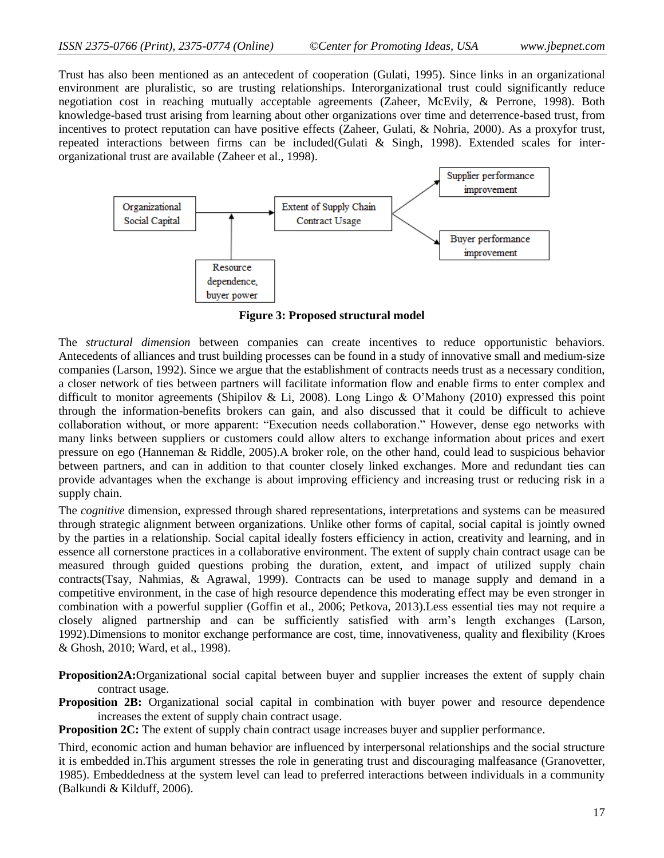Trust has also been mentioned as an antecedent of cooperation (Gulati, 1995). Since links in an organizational environment are pluralistic, so are trusting relationships. Interorganizational trust could significantly reduce negotiation cost in reaching mutually acceptable agreements (Zaheer, McEvily, & Perrone, 1998). Both knowledge-based trust arising from learning about other organizations over time and deterrence-based trust, from incentives to protect reputation can have positive effects (Zaheer, Gulati, & Nohria, 2000). As a proxyfor trust, repeated interactions between firms can be included(Gulati & Singh, 1998). Extended scales for interorganizational trust are available (Zaheer et al., 1998).



**Figure 3: Proposed structural model**

The *structural dimension* between companies can create incentives to reduce opportunistic behaviors. Antecedents of alliances and trust building processes can be found in a study of innovative small and medium-size companies (Larson, 1992). Since we argue that the establishment of contracts needs trust as a necessary condition, a closer network of ties between partners will facilitate information flow and enable firms to enter complex and difficult to monitor agreements (Shipilov & Li, 2008). Long Lingo & O'Mahony (2010) expressed this point through the information-benefits brokers can gain, and also discussed that it could be difficult to achieve collaboration without, or more apparent: "Execution needs collaboration." However, dense ego networks with many links between suppliers or customers could allow alters to exchange information about prices and exert pressure on ego (Hanneman & Riddle, 2005).A broker role, on the other hand, could lead to suspicious behavior between partners, and can in addition to that counter closely linked exchanges. More and redundant ties can provide advantages when the exchange is about improving efficiency and increasing trust or reducing risk in a supply chain.

The *cognitive* dimension, expressed through shared representations, interpretations and systems can be measured through strategic alignment between organizations. Unlike other forms of capital, social capital is jointly owned by the parties in a relationship. Social capital ideally fosters efficiency in action, creativity and learning, and in essence all cornerstone practices in a collaborative environment. The extent of supply chain contract usage can be measured through guided questions probing the duration, extent, and impact of utilized supply chain contracts(Tsay, Nahmias, & Agrawal, 1999). Contracts can be used to manage supply and demand in a competitive environment, in the case of high resource dependence this moderating effect may be even stronger in combination with a powerful supplier (Goffin et al., 2006; Petkova, 2013).Less essential ties may not require a closely aligned partnership and can be sufficiently satisfied with arm"s length exchanges (Larson, 1992).Dimensions to monitor exchange performance are cost, time, innovativeness, quality and flexibility (Kroes & Ghosh, 2010; Ward, et al., 1998).

**Proposition2A:**Organizational social capital between buyer and supplier increases the extent of supply chain contract usage.

**Proposition 2B:** Organizational social capital in combination with buyer power and resource dependence increases the extent of supply chain contract usage.

**Proposition 2C:** The extent of supply chain contract usage increases buyer and supplier performance.

Third, economic action and human behavior are influenced by interpersonal relationships and the social structure it is embedded in.This argument stresses the role in generating trust and discouraging malfeasance (Granovetter, 1985). Embeddedness at the system level can lead to preferred interactions between individuals in a community (Balkundi & Kilduff, 2006).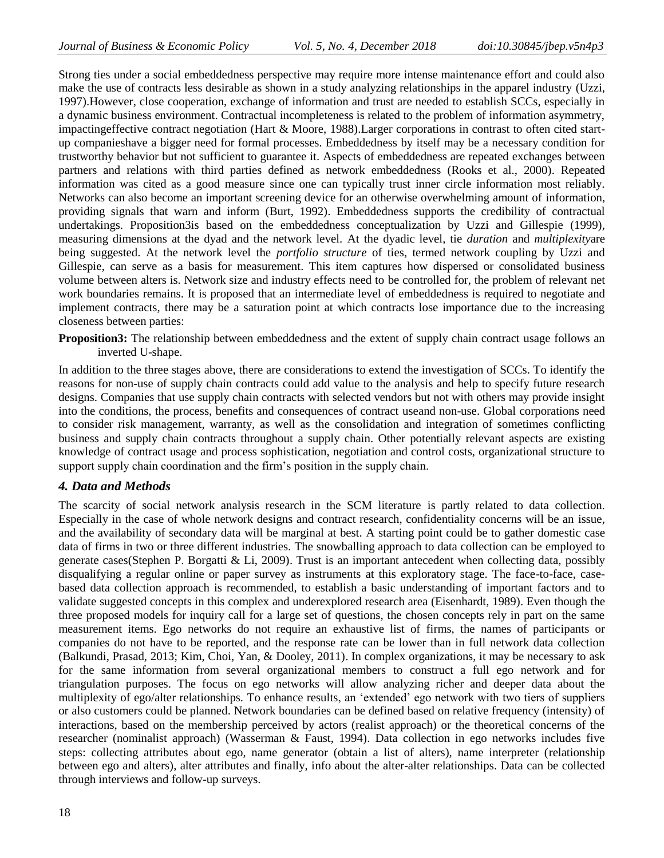Strong ties under a social embeddedness perspective may require more intense maintenance effort and could also make the use of contracts less desirable as shown in a study analyzing relationships in the apparel industry (Uzzi, 1997).However, close cooperation, exchange of information and trust are needed to establish SCCs, especially in a dynamic business environment. Contractual incompleteness is related to the problem of information asymmetry, impactingeffective contract negotiation (Hart & Moore, 1988).Larger corporations in contrast to often cited startup companieshave a bigger need for formal processes. Embeddedness by itself may be a necessary condition for trustworthy behavior but not sufficient to guarantee it. Aspects of embeddedness are repeated exchanges between partners and relations with third parties defined as network embeddedness (Rooks et al., 2000). Repeated information was cited as a good measure since one can typically trust inner circle information most reliably. Networks can also become an important screening device for an otherwise overwhelming amount of information, providing signals that warn and inform (Burt, 1992). Embeddedness supports the credibility of contractual undertakings. Proposition3is based on the embeddedness conceptualization by Uzzi and Gillespie (1999), measuring dimensions at the dyad and the network level. At the dyadic level, tie *duration* and *multiplexity*are being suggested. At the network level the *portfolio structure* of ties, termed network coupling by Uzzi and Gillespie, can serve as a basis for measurement. This item captures how dispersed or consolidated business volume between alters is. Network size and industry effects need to be controlled for, the problem of relevant net work boundaries remains. It is proposed that an intermediate level of embeddedness is required to negotiate and implement contracts, there may be a saturation point at which contracts lose importance due to the increasing closeness between parties:

**Proposition3:** The relationship between embeddedness and the extent of supply chain contract usage follows an inverted U-shape.

In addition to the three stages above, there are considerations to extend the investigation of SCCs. To identify the reasons for non-use of supply chain contracts could add value to the analysis and help to specify future research designs. Companies that use supply chain contracts with selected vendors but not with others may provide insight into the conditions, the process, benefits and consequences of contract useand non-use. Global corporations need to consider risk management, warranty, as well as the consolidation and integration of sometimes conflicting business and supply chain contracts throughout a supply chain. Other potentially relevant aspects are existing knowledge of contract usage and process sophistication, negotiation and control costs, organizational structure to support supply chain coordination and the firm"s position in the supply chain.

# *4. Data and Methods*

The scarcity of social network analysis research in the SCM literature is partly related to data collection. Especially in the case of whole network designs and contract research, confidentiality concerns will be an issue, and the availability of secondary data will be marginal at best. A starting point could be to gather domestic case data of firms in two or three different industries. The snowballing approach to data collection can be employed to generate cases(Stephen P. Borgatti & Li, 2009). Trust is an important antecedent when collecting data, possibly disqualifying a regular online or paper survey as instruments at this exploratory stage. The face-to-face, casebased data collection approach is recommended, to establish a basic understanding of important factors and to validate suggested concepts in this complex and underexplored research area (Eisenhardt, 1989). Even though the three proposed models for inquiry call for a large set of questions, the chosen concepts rely in part on the same measurement items. Ego networks do not require an exhaustive list of firms, the names of participants or companies do not have to be reported, and the response rate can be lower than in full network data collection (Balkundi, Prasad, 2013; Kim, Choi, Yan, & Dooley, 2011). In complex organizations, it may be necessary to ask for the same information from several organizational members to construct a full ego network and for triangulation purposes. The focus on ego networks will allow analyzing richer and deeper data about the multiplexity of ego/alter relationships. To enhance results, an "extended" ego network with two tiers of suppliers or also customers could be planned. Network boundaries can be defined based on relative frequency (intensity) of interactions, based on the membership perceived by actors (realist approach) or the theoretical concerns of the researcher (nominalist approach) (Wasserman & Faust, 1994). Data collection in ego networks includes five steps: collecting attributes about ego, name generator (obtain a list of alters), name interpreter (relationship between ego and alters), alter attributes and finally, info about the alter-alter relationships. Data can be collected through interviews and follow-up surveys.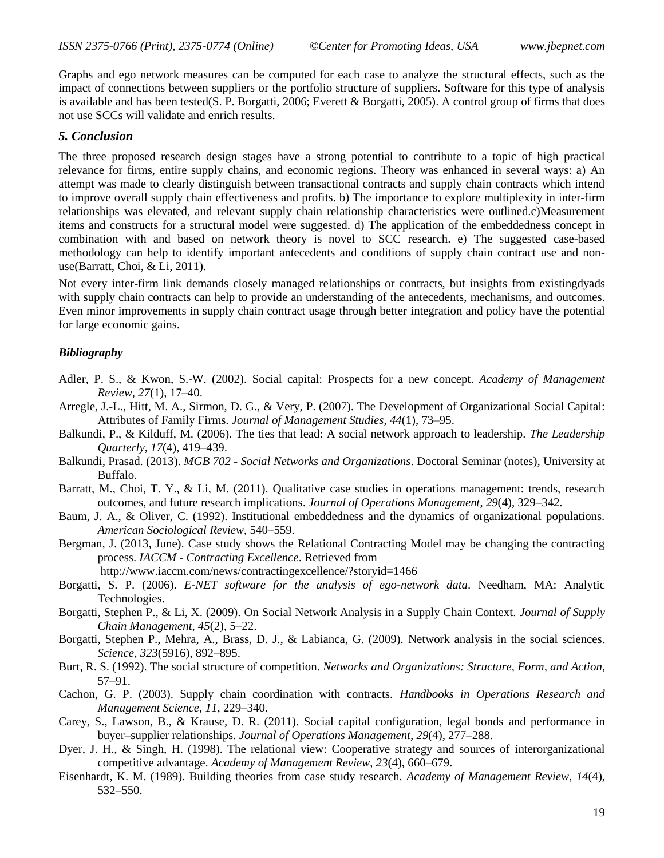Graphs and ego network measures can be computed for each case to analyze the structural effects, such as the impact of connections between suppliers or the portfolio structure of suppliers. Software for this type of analysis is available and has been tested(S. P. Borgatti, 2006; Everett & Borgatti, 2005). A control group of firms that does not use SCCs will validate and enrich results.

## *5. Conclusion*

The three proposed research design stages have a strong potential to contribute to a topic of high practical relevance for firms, entire supply chains, and economic regions. Theory was enhanced in several ways: a) An attempt was made to clearly distinguish between transactional contracts and supply chain contracts which intend to improve overall supply chain effectiveness and profits. b) The importance to explore multiplexity in inter-firm relationships was elevated, and relevant supply chain relationship characteristics were outlined.c)Measurement items and constructs for a structural model were suggested. d) The application of the embeddedness concept in combination with and based on network theory is novel to SCC research. e) The suggested case-based methodology can help to identify important antecedents and conditions of supply chain contract use and nonuse(Barratt, Choi, & Li, 2011).

Not every inter-firm link demands closely managed relationships or contracts, but insights from existingdyads with supply chain contracts can help to provide an understanding of the antecedents, mechanisms, and outcomes. Even minor improvements in supply chain contract usage through better integration and policy have the potential for large economic gains.

## *Bibliography*

- Adler, P. S., & Kwon, S.-W. (2002). Social capital: Prospects for a new concept. *Academy of Management Review*, *27*(1), 17–40.
- Arregle, J.-L., Hitt, M. A., Sirmon, D. G., & Very, P. (2007). The Development of Organizational Social Capital: Attributes of Family Firms. *Journal of Management Studies*, *44*(1), 73–95.
- Balkundi, P., & Kilduff, M. (2006). The ties that lead: A social network approach to leadership. *The Leadership Quarterly*, *17*(4), 419–439.
- Balkundi, Prasad. (2013). *MGB 702 - Social Networks and Organizations*. Doctoral Seminar (notes), University at Buffalo.
- Barratt, M., Choi, T. Y., & Li, M. (2011). Qualitative case studies in operations management: trends, research outcomes, and future research implications. *Journal of Operations Management*, *29*(4), 329–342.
- Baum, J. A., & Oliver, C. (1992). Institutional embeddedness and the dynamics of organizational populations. *American Sociological Review*, 540–559.
- Bergman, J. (2013, June). Case study shows the Relational Contracting Model may be changing the contracting process. *IACCM - Contracting Excellence*. Retrieved from

http://www.iaccm.com/news/contractingexcellence/?storyid=1466

- Borgatti, S. P. (2006). *E-NET software for the analysis of ego-network data*. Needham, MA: Analytic Technologies.
- Borgatti, Stephen P., & Li, X. (2009). On Social Network Analysis in a Supply Chain Context. *Journal of Supply Chain Management*, *45*(2), 5–22.
- Borgatti, Stephen P., Mehra, A., Brass, D. J., & Labianca, G. (2009). Network analysis in the social sciences. *Science*, *323*(5916), 892–895.
- Burt, R. S. (1992). The social structure of competition. *Networks and Organizations: Structure, Form, and Action*, 57–91.
- Cachon, G. P. (2003). Supply chain coordination with contracts. *Handbooks in Operations Research and Management Science*, *11*, 229–340.
- Carey, S., Lawson, B., & Krause, D. R. (2011). Social capital configuration, legal bonds and performance in buyer–supplier relationships. *Journal of Operations Management*, *29*(4), 277–288.
- Dyer, J. H., & Singh, H. (1998). The relational view: Cooperative strategy and sources of interorganizational competitive advantage. *Academy of Management Review*, *23*(4), 660–679.
- Eisenhardt, K. M. (1989). Building theories from case study research. *Academy of Management Review*, *14*(4), 532–550.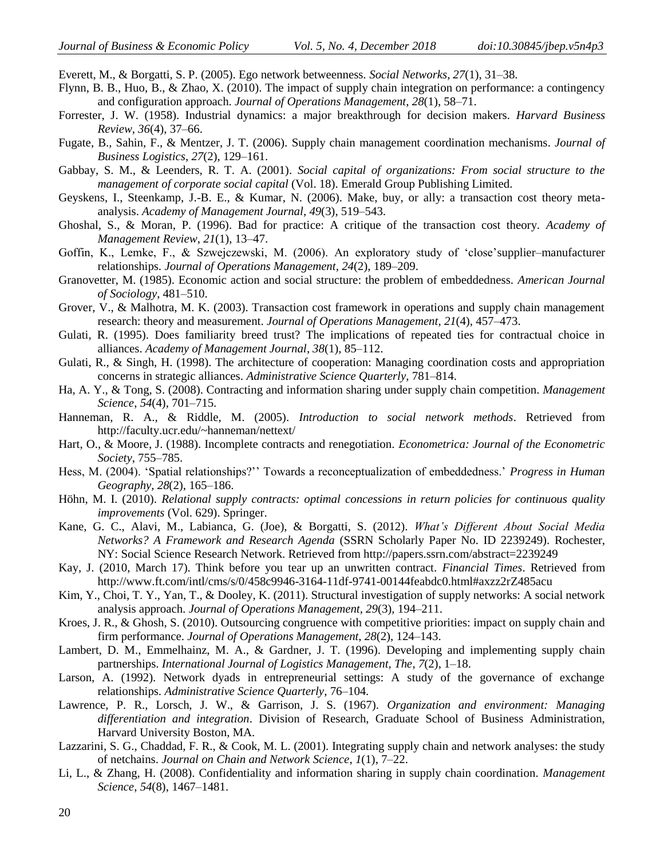Everett, M., & Borgatti, S. P. (2005). Ego network betweenness. *Social Networks*, *27*(1), 31–38.

- Flynn, B. B., Huo, B., & Zhao, X. (2010). The impact of supply chain integration on performance: a contingency and configuration approach. *Journal of Operations Management*, *28*(1), 58–71.
- Forrester, J. W. (1958). Industrial dynamics: a major breakthrough for decision makers. *Harvard Business Review*, *36*(4), 37–66.
- Fugate, B., Sahin, F., & Mentzer, J. T. (2006). Supply chain management coordination mechanisms. *Journal of Business Logistics*, *27*(2), 129–161.
- Gabbay, S. M., & Leenders, R. T. A. (2001). *Social capital of organizations: From social structure to the management of corporate social capital* (Vol. 18). Emerald Group Publishing Limited.
- Geyskens, I., Steenkamp, J.-B. E., & Kumar, N. (2006). Make, buy, or ally: a transaction cost theory metaanalysis. *Academy of Management Journal*, *49*(3), 519–543.
- Ghoshal, S., & Moran, P. (1996). Bad for practice: A critique of the transaction cost theory. *Academy of Management Review*, *21*(1), 13–47.
- Goffin, K., Lemke, F., & Szwejczewski, M. (2006). An exploratory study of "close"supplier–manufacturer relationships. *Journal of Operations Management*, *24*(2), 189–209.
- Granovetter, M. (1985). Economic action and social structure: the problem of embeddedness. *American Journal of Sociology*, 481–510.
- Grover, V., & Malhotra, M. K. (2003). Transaction cost framework in operations and supply chain management research: theory and measurement. *Journal of Operations Management*, *21*(4), 457–473.
- Gulati, R. (1995). Does familiarity breed trust? The implications of repeated ties for contractual choice in alliances. *Academy of Management Journal*, *38*(1), 85–112.
- Gulati, R., & Singh, H. (1998). The architecture of cooperation: Managing coordination costs and appropriation concerns in strategic alliances. *Administrative Science Quarterly*, 781–814.
- Ha, A. Y., & Tong, S. (2008). Contracting and information sharing under supply chain competition. *Management Science*, *54*(4), 701–715.
- Hanneman, R. A., & Riddle, M. (2005). *Introduction to social network methods*. Retrieved from http://faculty.ucr.edu/~hanneman/nettext/
- Hart, O., & Moore, J. (1988). Incomplete contracts and renegotiation. *Econometrica: Journal of the Econometric Society*, 755–785.
- Hess, M. (2004). "Spatial relationships?"" Towards a reconceptualization of embeddedness." *Progress in Human Geography*, *28*(2), 165–186.
- Höhn, M. I. (2010). *Relational supply contracts: optimal concessions in return policies for continuous quality improvements* (Vol. 629). Springer.
- Kane, G. C., Alavi, M., Labianca, G. (Joe), & Borgatti, S. (2012). *What's Different About Social Media Networks? A Framework and Research Agenda* (SSRN Scholarly Paper No. ID 2239249). Rochester, NY: Social Science Research Network. Retrieved from http://papers.ssrn.com/abstract=2239249
- Kay, J. (2010, March 17). Think before you tear up an unwritten contract. *Financial Times*. Retrieved from http://www.ft.com/intl/cms/s/0/458c9946-3164-11df-9741-00144feabdc0.html#axzz2rZ485acu
- Kim, Y., Choi, T. Y., Yan, T., & Dooley, K. (2011). Structural investigation of supply networks: A social network analysis approach. *Journal of Operations Management*, *29*(3), 194–211.
- Kroes, J. R., & Ghosh, S. (2010). Outsourcing congruence with competitive priorities: impact on supply chain and firm performance. *Journal of Operations Management*, *28*(2), 124–143.
- Lambert, D. M., Emmelhainz, M. A., & Gardner, J. T. (1996). Developing and implementing supply chain partnerships. *International Journal of Logistics Management, The*, *7*(2), 1–18.
- Larson, A. (1992). Network dyads in entrepreneurial settings: A study of the governance of exchange relationships. *Administrative Science Quarterly*, 76–104.
- Lawrence, P. R., Lorsch, J. W., & Garrison, J. S. (1967). *Organization and environment: Managing differentiation and integration*. Division of Research, Graduate School of Business Administration, Harvard University Boston, MA.
- Lazzarini, S. G., Chaddad, F. R., & Cook, M. L. (2001). Integrating supply chain and network analyses: the study of netchains. *Journal on Chain and Network Science*, *1*(1), 7–22.
- Li, L., & Zhang, H. (2008). Confidentiality and information sharing in supply chain coordination. *Management Science*, *54*(8), 1467–1481.